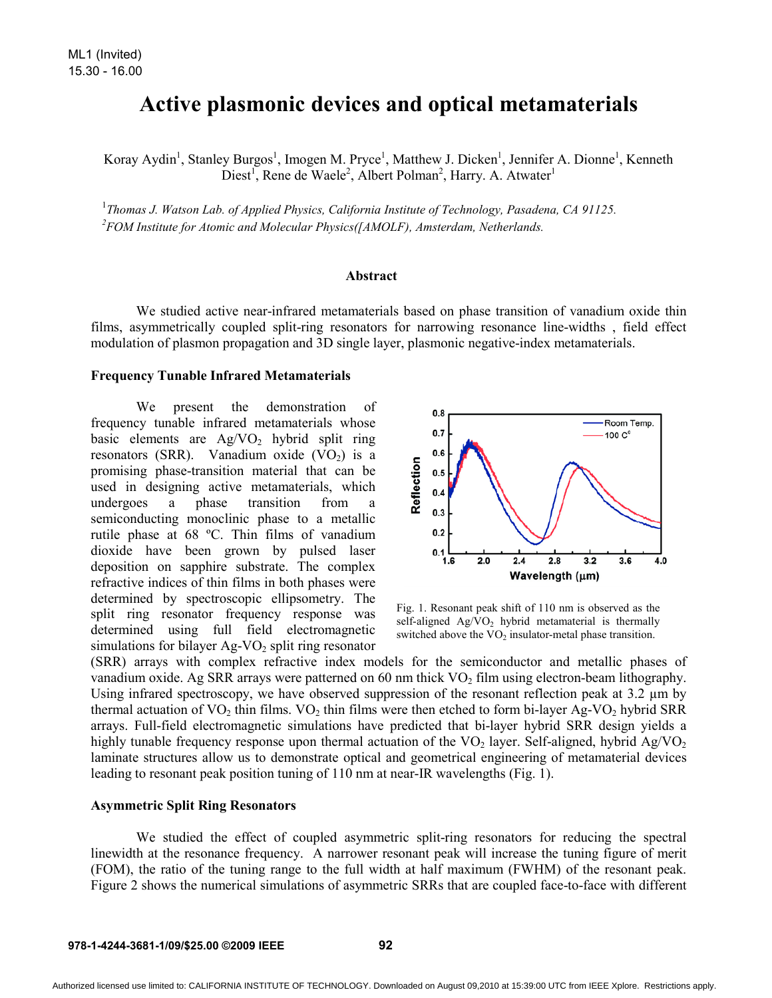# **Active plasmonic devices and optical metamaterials**

Koray Aydin<sup>1</sup>, Stanley Burgos<sup>1</sup>, Imogen M. Pryce<sup>1</sup>, Matthew J. Dicken<sup>1</sup>, Jennifer A. Dionne<sup>1</sup>, Kenneth Diest<sup>1</sup>, Rene de Waele<sup>2</sup>, Albert Polman<sup>2</sup>, Harry. A. Atwater<sup>1</sup>

<sup>1</sup>Thomas J. Watson Lab. of Applied Physics, California Institute of Technology, Pasadena, CA 91125.<br><sup>2</sup>EOM Institute for Atomic and Molecular Physics (LAMOLE), Ameterdam, Netherlands. *FOM Institute for Atomic and Molecular Physics([AMOLF), Amsterdam, Netherlands.*

## **Abstract**

We studied active near-infrared metamaterials based on phase transition of vanadium oxide thin films, asymmetrically coupled split-ring resonators for narrowing resonance line-widths , field effect modulation of plasmon propagation and 3D single layer, plasmonic negative-index metamaterials.

# **Frequency Tunable Infrared Metamaterials**

We present the demonstration of frequency tunable infrared metamaterials whose basic elements are  $Ag/VO<sub>2</sub>$  hybrid split ring resonators (SRR). Vanadium oxide  $(VO<sub>2</sub>)$  is a promising phase-transition material that can be used in designing active metamaterials, which undergoes a phase transition from a semiconducting monoclinic phase to a metallic rutile phase at 68 ºC. Thin films of vanadium dioxide have been grown by pulsed laser deposition on sapphire substrate. The complex refractive indices of thin films in both phases were determined by spectroscopic ellipsometry. The split ring resonator frequency response was determined using full field electromagnetic simulations for bilayer  $Ag-VO<sub>2</sub>$  split ring resonator



Fig. 1. Resonant peak shift of 110 nm is observed as the self-aligned  $Ag/VO<sub>2</sub>$  hybrid metamaterial is thermally switched above the  $VO<sub>2</sub>$  insulator-metal phase transition.

(SRR) arrays with complex refractive index models for the semiconductor and metallic phases of vanadium oxide. Ag SRR arrays were patterned on 60 nm thick  $VO<sub>2</sub>$  film using electron-beam lithography. Using infrared spectroscopy, we have observed suppression of the resonant reflection peak at 3.2  $\mu$ m by thermal actuation of  $VO<sub>2</sub>$  thin films.  $VO<sub>2</sub>$  thin films were then etched to form bi-layer Ag-VO<sub>2</sub> hybrid SRR arrays. Full-field electromagnetic simulations have predicted that bi-layer hybrid SRR design yields a highly tunable frequency response upon thermal actuation of the  $VO<sub>2</sub>$  layer. Self-aligned, hybrid Ag/VO<sub>2</sub> laminate structures allow us to demonstrate optical and geometrical engineering of metamaterial devices leading to resonant peak position tuning of 110 nm at near-IR wavelengths (Fig. 1).

#### **Asymmetric Split Ring Resonators**

We studied the effect of coupled asymmetric split-ring resonators for reducing the spectral linewidth at the resonance frequency. A narrower resonant peak will increase the tuning figure of merit (FOM), the ratio of the tuning range to the full width at half maximum (FWHM) of the resonant peak. Figure 2 shows the numerical simulations of asymmetric SRRs that are coupled face-to-face with different